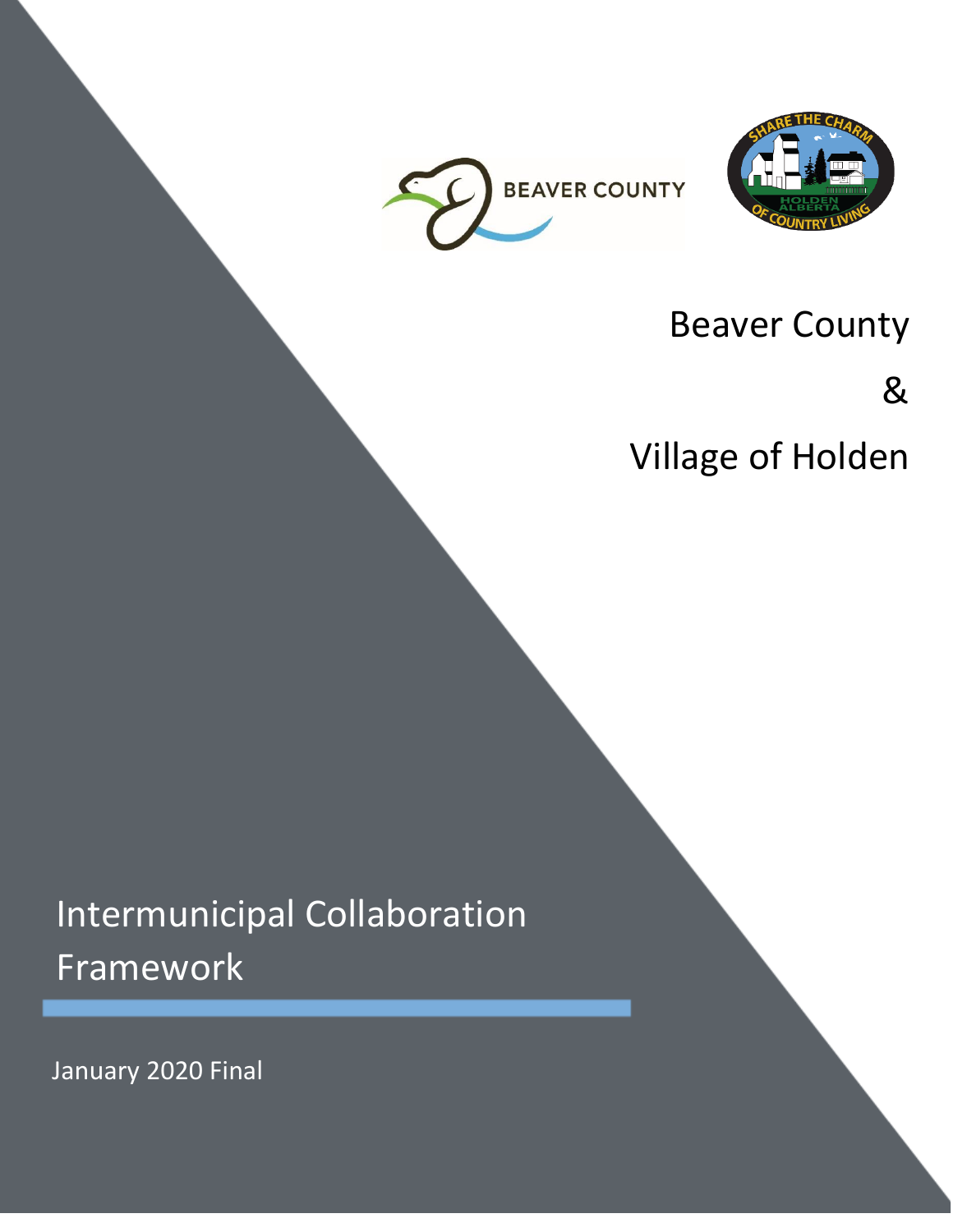



# Beaver County

&

Village of Holden

# Intermunicipal Collaboration Framework

January 2020 Final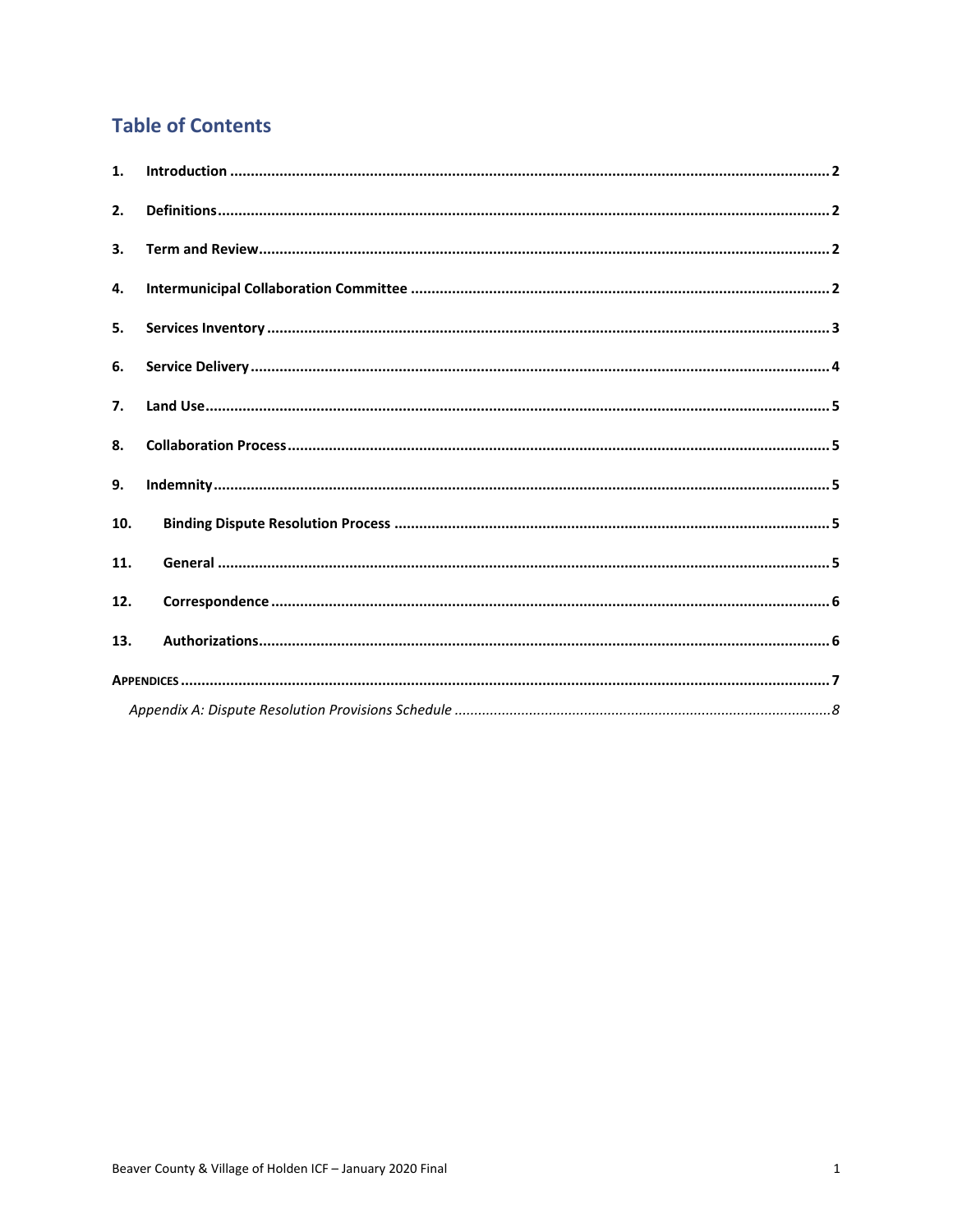## **Table of Contents**

| 1.             |  |
|----------------|--|
| 2.             |  |
| 3.             |  |
| 4.             |  |
| 5.             |  |
| 6.             |  |
| 7 <sub>1</sub> |  |
| 8.             |  |
| 9.             |  |
| 10.            |  |
| 11.            |  |
| 12.            |  |
| 13.            |  |
|                |  |
|                |  |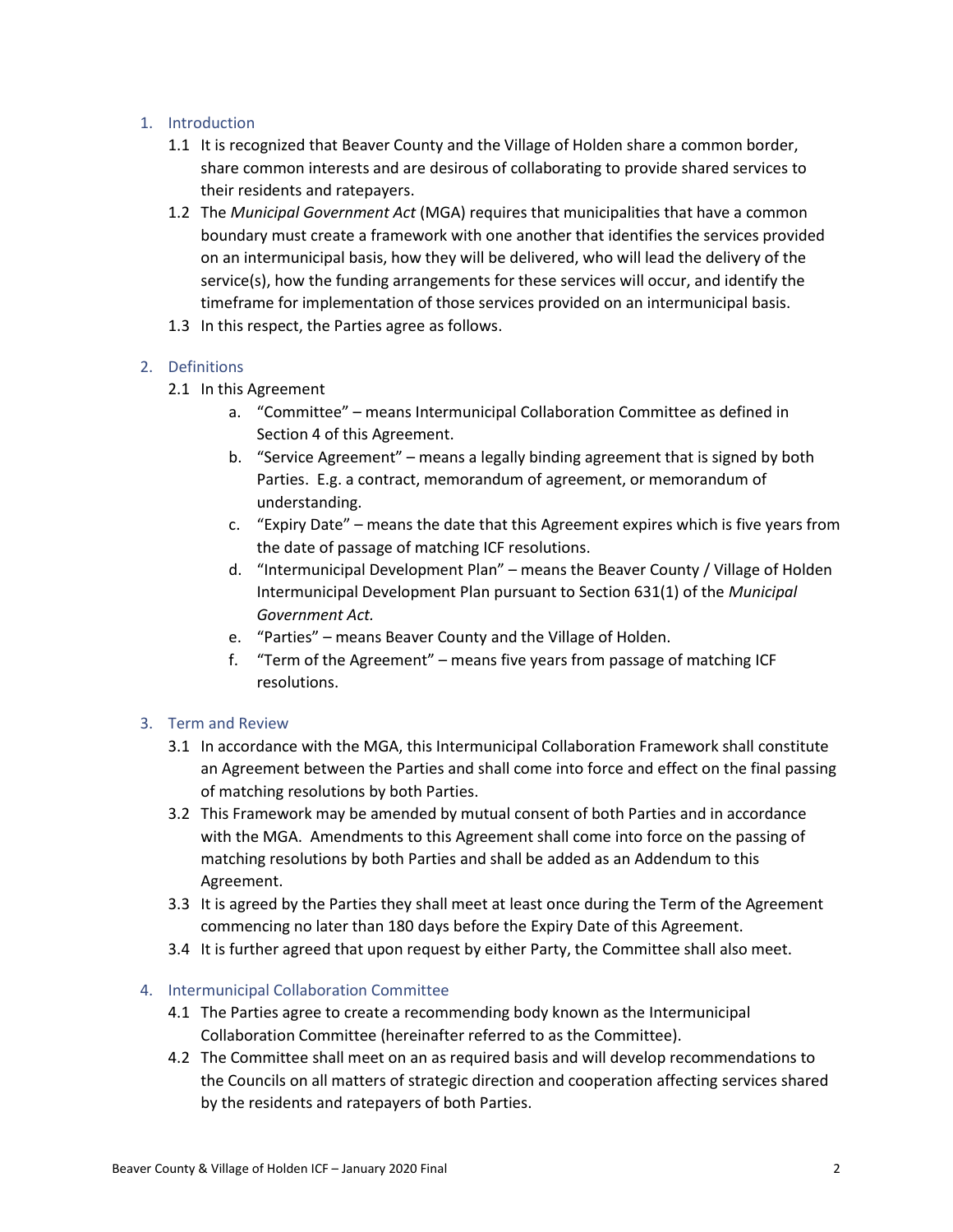## <span id="page-2-0"></span>1. Introduction

- 1.1 It is recognized that Beaver County and the Village of Holden share a common border, share common interests and are desirous of collaborating to provide shared services to their residents and ratepayers.
- 1.2 The *Municipal Government Act* (MGA) requires that municipalities that have a common boundary must create a framework with one another that identifies the services provided on an intermunicipal basis, how they will be delivered, who will lead the delivery of the service(s), how the funding arrangements for these services will occur, and identify the timeframe for implementation of those services provided on an intermunicipal basis.
- 1.3 In this respect, the Parties agree as follows.

## <span id="page-2-1"></span>2. Definitions

- 2.1 In this Agreement
	- a. "Committee" means Intermunicipal Collaboration Committee as defined in Section 4 of this Agreement.
	- b. "Service Agreement" means a legally binding agreement that is signed by both Parties. E.g. a contract, memorandum of agreement, or memorandum of understanding.
	- c. "Expiry Date" means the date that this Agreement expires which is five years from the date of passage of matching ICF resolutions.
	- d. "Intermunicipal Development Plan" means the Beaver County / Village of Holden Intermunicipal Development Plan pursuant to Section 631(1) of the *Municipal Government Act.*
	- e. "Parties" means Beaver County and the Village of Holden.
	- f. "Term of the Agreement" means five years from passage of matching ICF resolutions.

## <span id="page-2-2"></span>3. Term and Review

- 3.1 In accordance with the MGA, this Intermunicipal Collaboration Framework shall constitute an Agreement between the Parties and shall come into force and effect on the final passing of matching resolutions by both Parties.
- 3.2 This Framework may be amended by mutual consent of both Parties and in accordance with the MGA. Amendments to this Agreement shall come into force on the passing of matching resolutions by both Parties and shall be added as an Addendum to this Agreement.
- 3.3 It is agreed by the Parties they shall meet at least once during the Term of the Agreement commencing no later than 180 days before the Expiry Date of this Agreement.
- 3.4 It is further agreed that upon request by either Party, the Committee shall also meet.

#### <span id="page-2-3"></span>4. Intermunicipal Collaboration Committee

- 4.1 The Parties agree to create a recommending body known as the Intermunicipal Collaboration Committee (hereinafter referred to as the Committee).
- 4.2 The Committee shall meet on an as required basis and will develop recommendations to the Councils on all matters of strategic direction and cooperation affecting services shared by the residents and ratepayers of both Parties.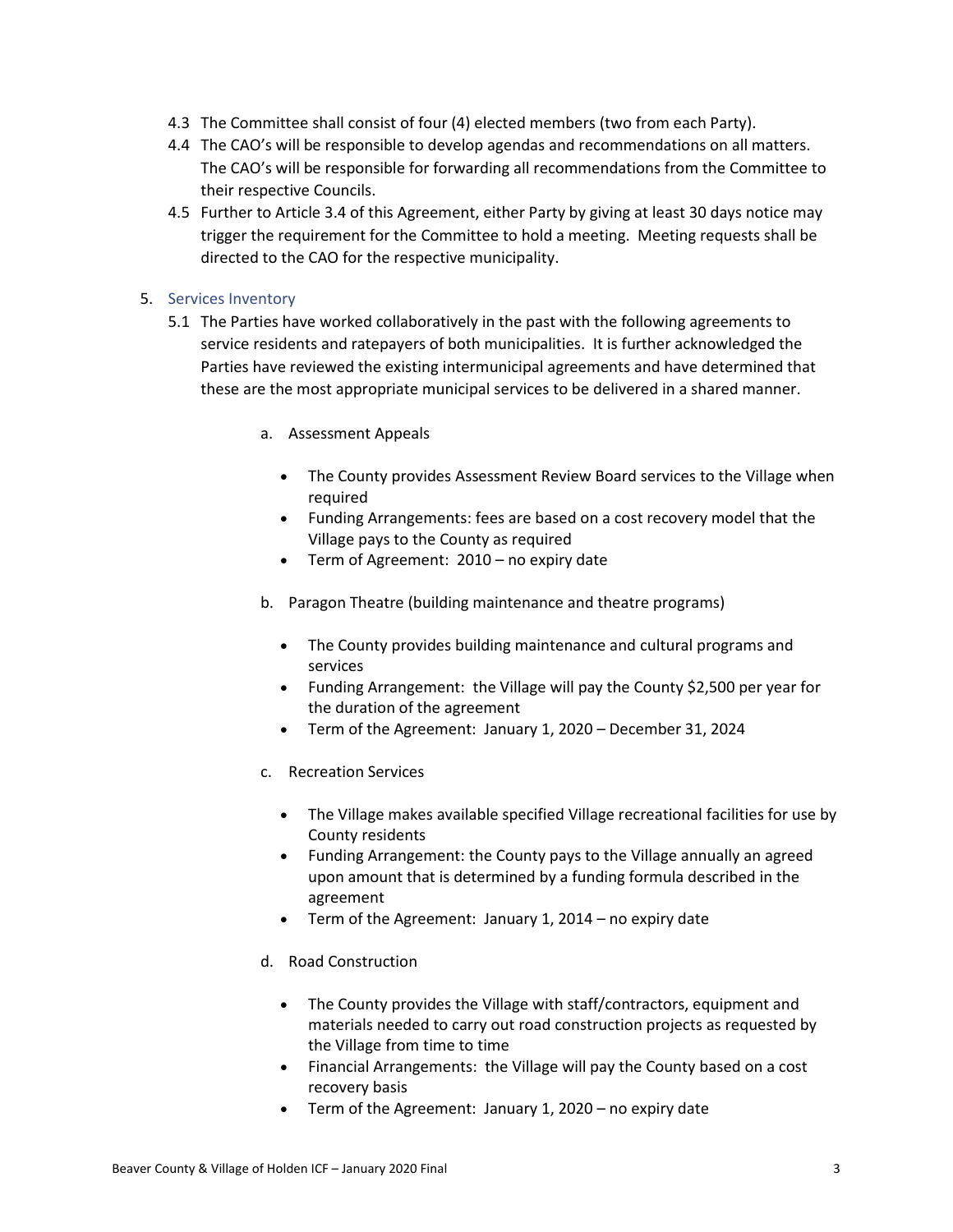- 4.3 The Committee shall consist of four (4) elected members (two from each Party).
- 4.4 The CAO's will be responsible to develop agendas and recommendations on all matters. The CAO's will be responsible for forwarding all recommendations from the Committee to their respective Councils.
- 4.5 Further to Article 3.4 of this Agreement, either Party by giving at least 30 days notice may trigger the requirement for the Committee to hold a meeting. Meeting requests shall be directed to the CAO for the respective municipality.

## <span id="page-3-0"></span>5. Services Inventory

- 5.1 The Parties have worked collaboratively in the past with the following agreements to service residents and ratepayers of both municipalities. It is further acknowledged the Parties have reviewed the existing intermunicipal agreements and have determined that these are the most appropriate municipal services to be delivered in a shared manner.
	- a. Assessment Appeals
		- The County provides Assessment Review Board services to the Village when required
		- Funding Arrangements: fees are based on a cost recovery model that the Village pays to the County as required
		- Term of Agreement: 2010 no expiry date
	- b. Paragon Theatre (building maintenance and theatre programs)
		- The County provides building maintenance and cultural programs and services
		- Funding Arrangement: the Village will pay the County \$2,500 per year for the duration of the agreement
		- Term of the Agreement: January 1, 2020 December 31, 2024
	- c. Recreation Services
		- The Village makes available specified Village recreational facilities for use by County residents
		- Funding Arrangement: the County pays to the Village annually an agreed upon amount that is determined by a funding formula described in the agreement
		- Term of the Agreement: January 1, 2014 no expiry date
	- d. Road Construction
		- The County provides the Village with staff/contractors, equipment and materials needed to carry out road construction projects as requested by the Village from time to time
		- Financial Arrangements: the Village will pay the County based on a cost recovery basis
		- Term of the Agreement: January 1, 2020 no expiry date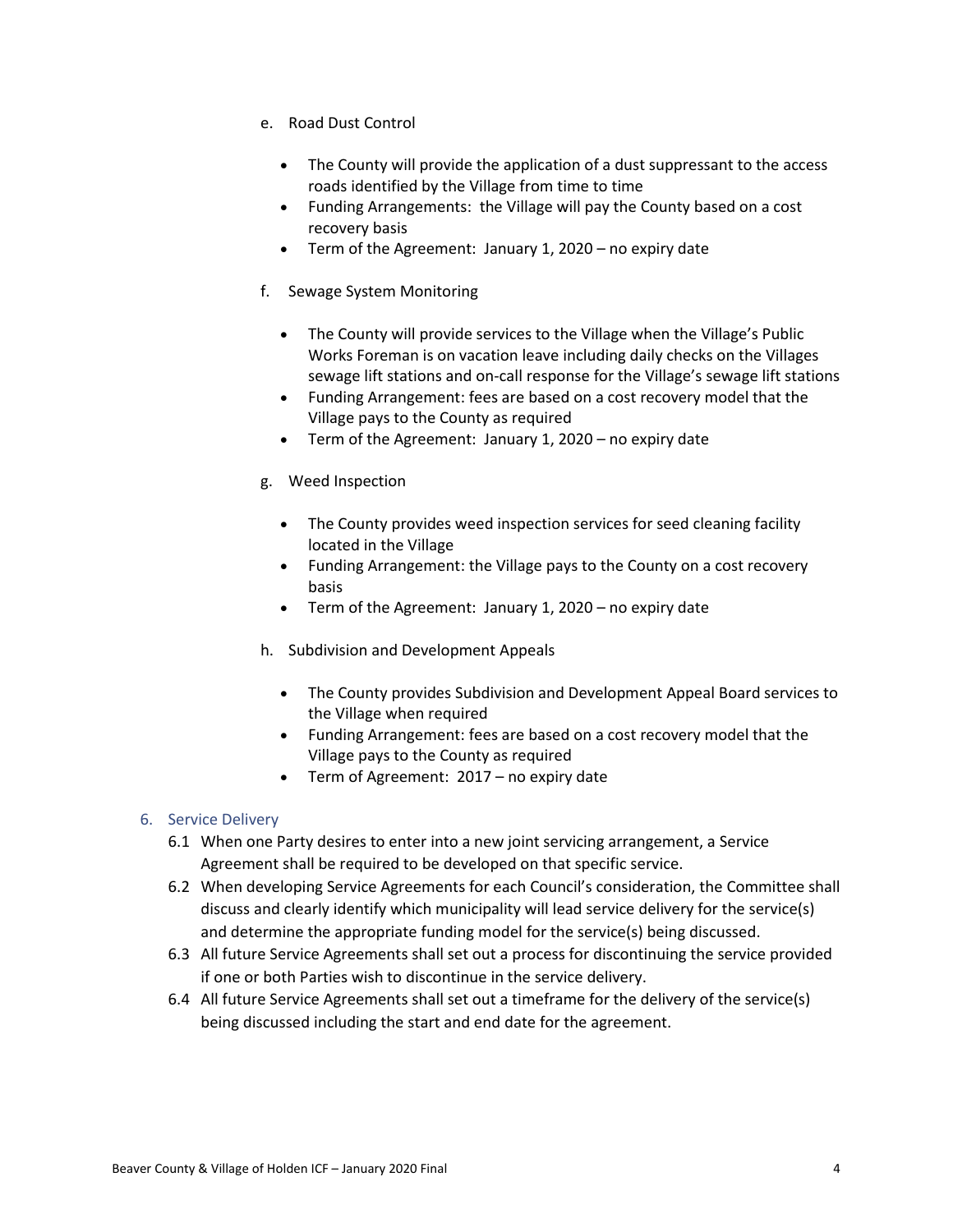- e. Road Dust Control
	- The County will provide the application of a dust suppressant to the access roads identified by the Village from time to time
	- Funding Arrangements: the Village will pay the County based on a cost recovery basis
	- Term of the Agreement: January 1, 2020 no expiry date
- f. Sewage System Monitoring
	- The County will provide services to the Village when the Village's Public Works Foreman is on vacation leave including daily checks on the Villages sewage lift stations and on-call response for the Village's sewage lift stations
	- Funding Arrangement: fees are based on a cost recovery model that the Village pays to the County as required
	- Term of the Agreement: January 1, 2020 no expiry date
- g. Weed Inspection
	- The County provides weed inspection services for seed cleaning facility located in the Village
	- Funding Arrangement: the Village pays to the County on a cost recovery basis
	- Term of the Agreement: January 1, 2020 no expiry date
- h. Subdivision and Development Appeals
	- The County provides Subdivision and Development Appeal Board services to the Village when required
	- Funding Arrangement: fees are based on a cost recovery model that the Village pays to the County as required
	- Term of Agreement: 2017 no expiry date

## <span id="page-4-0"></span>6. Service Delivery

- 6.1 When one Party desires to enter into a new joint servicing arrangement, a Service Agreement shall be required to be developed on that specific service.
- 6.2 When developing Service Agreements for each Council's consideration, the Committee shall discuss and clearly identify which municipality will lead service delivery for the service(s) and determine the appropriate funding model for the service(s) being discussed.
- 6.3 All future Service Agreements shall set out a process for discontinuing the service provided if one or both Parties wish to discontinue in the service delivery.
- 6.4 All future Service Agreements shall set out a timeframe for the delivery of the service(s) being discussed including the start and end date for the agreement.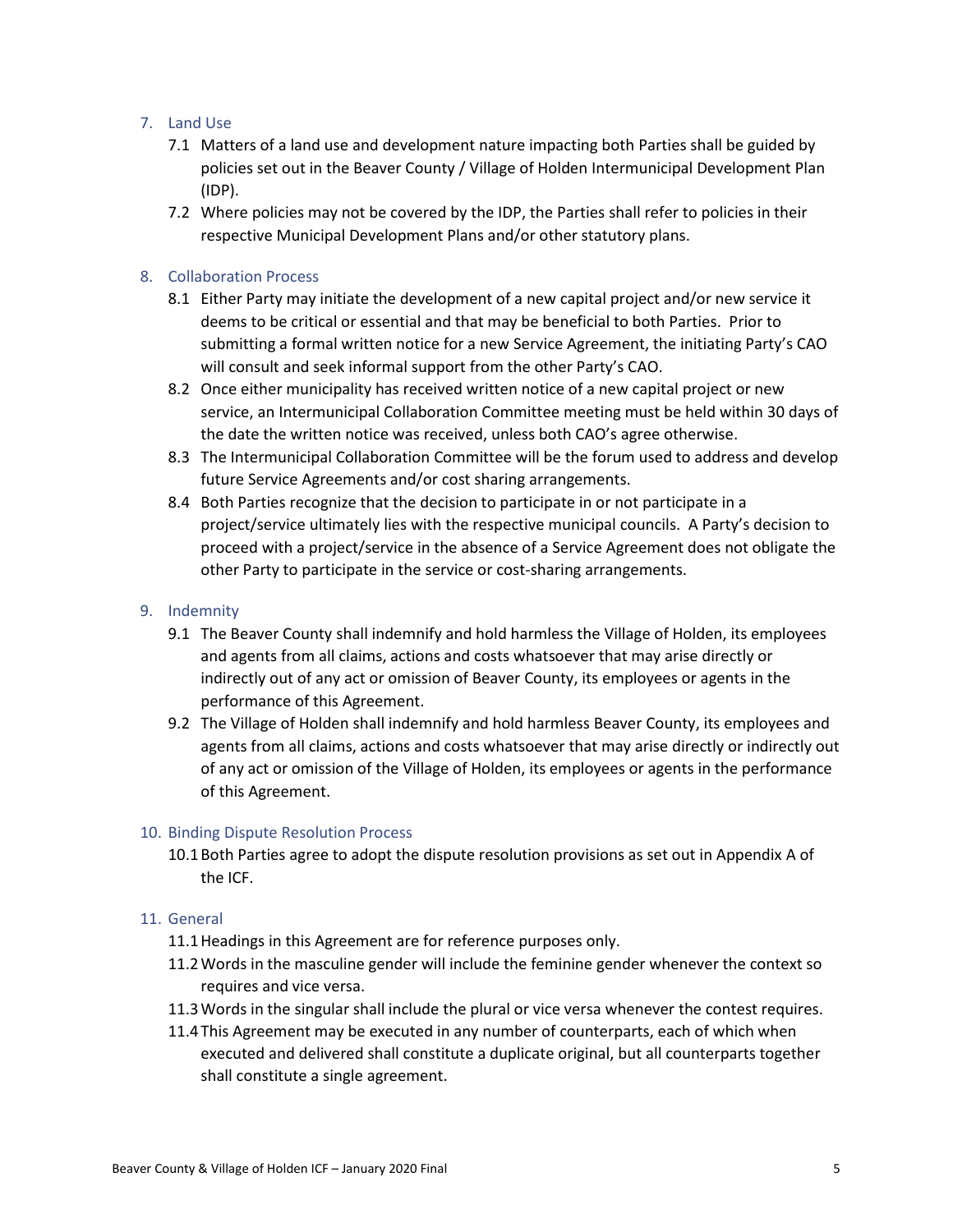## <span id="page-5-0"></span>7. Land Use

- 7.1 Matters of a land use and development nature impacting both Parties shall be guided by policies set out in the Beaver County / Village of Holden Intermunicipal Development Plan (IDP).
- 7.2 Where policies may not be covered by the IDP, the Parties shall refer to policies in their respective Municipal Development Plans and/or other statutory plans.

## <span id="page-5-1"></span>8. Collaboration Process

- 8.1 Either Party may initiate the development of a new capital project and/or new service it deems to be critical or essential and that may be beneficial to both Parties. Prior to submitting a formal written notice for a new Service Agreement, the initiating Party's CAO will consult and seek informal support from the other Party's CAO.
- 8.2 Once either municipality has received written notice of a new capital project or new service, an Intermunicipal Collaboration Committee meeting must be held within 30 days of the date the written notice was received, unless both CAO's agree otherwise.
- 8.3 The Intermunicipal Collaboration Committee will be the forum used to address and develop future Service Agreements and/or cost sharing arrangements.
- 8.4 Both Parties recognize that the decision to participate in or not participate in a project/service ultimately lies with the respective municipal councils. A Party's decision to proceed with a project/service in the absence of a Service Agreement does not obligate the other Party to participate in the service or cost-sharing arrangements.

#### <span id="page-5-2"></span>9. Indemnity

- 9.1 The Beaver County shall indemnify and hold harmless the Village of Holden, its employees and agents from all claims, actions and costs whatsoever that may arise directly or indirectly out of any act or omission of Beaver County, its employees or agents in the performance of this Agreement.
- 9.2 The Village of Holden shall indemnify and hold harmless Beaver County, its employees and agents from all claims, actions and costs whatsoever that may arise directly or indirectly out of any act or omission of the Village of Holden, its employees or agents in the performance of this Agreement.

#### <span id="page-5-3"></span>10. Binding Dispute Resolution Process

10.1Both Parties agree to adopt the dispute resolution provisions as set out in Appendix A of the ICF.

#### <span id="page-5-4"></span>11. General

- 11.1Headings in this Agreement are for reference purposes only.
- 11.2Words in the masculine gender will include the feminine gender whenever the context so requires and vice versa.
- 11.3Words in the singular shall include the plural or vice versa whenever the contest requires.
- 11.4This Agreement may be executed in any number of counterparts, each of which when executed and delivered shall constitute a duplicate original, but all counterparts together shall constitute a single agreement.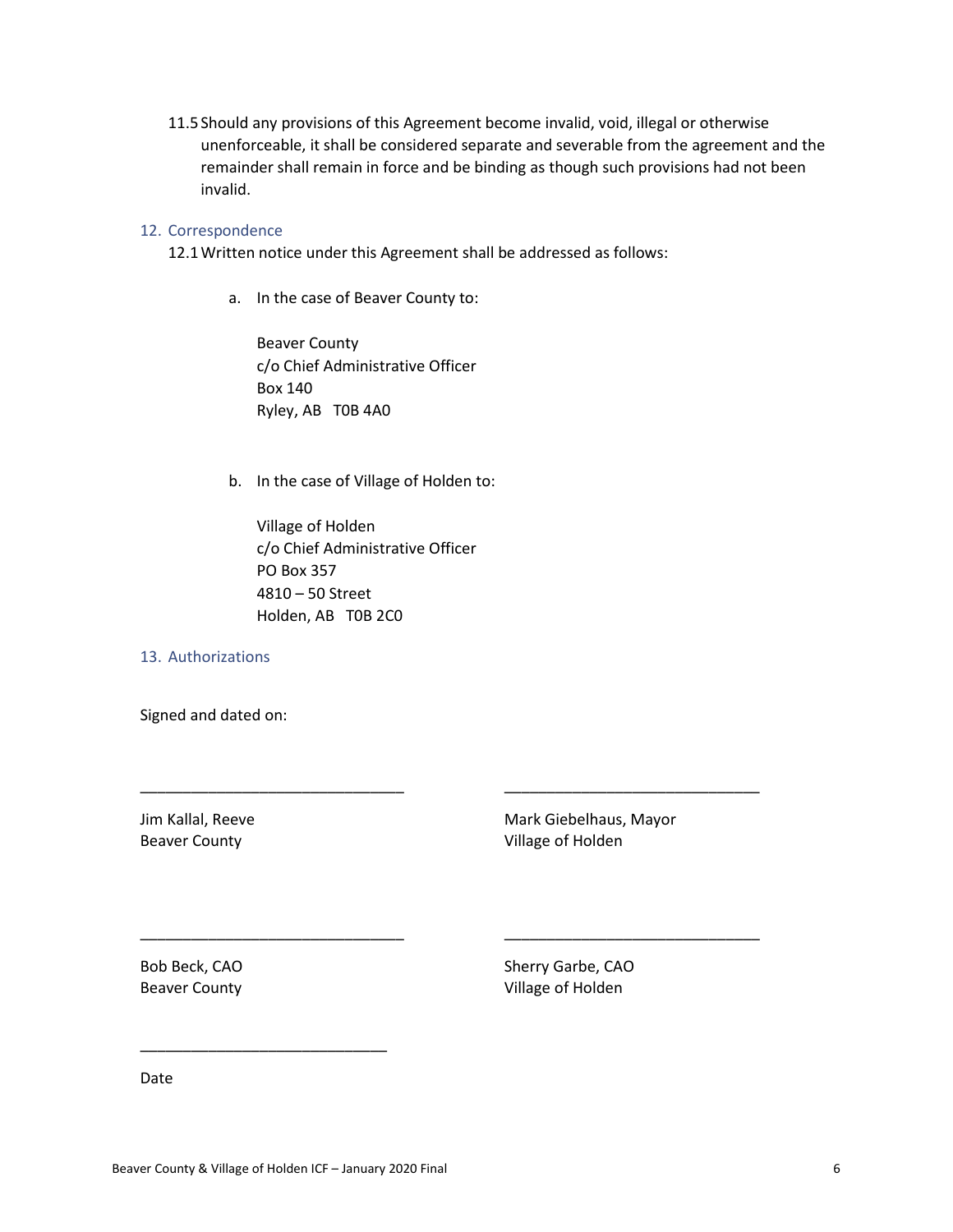11.5Should any provisions of this Agreement become invalid, void, illegal or otherwise unenforceable, it shall be considered separate and severable from the agreement and the remainder shall remain in force and be binding as though such provisions had not been invalid.

#### <span id="page-6-0"></span>12. Correspondence

12.1Written notice under this Agreement shall be addressed as follows:

a. In the case of Beaver County to:

Beaver County c/o Chief Administrative Officer Box 140 Ryley, AB T0B 4A0

b. In the case of Village of Holden to:

Village of Holden c/o Chief Administrative Officer PO Box 357 4810 – 50 Street Holden, AB T0B 2C0

\_\_\_\_\_\_\_\_\_\_\_\_\_\_\_\_\_\_\_\_\_\_\_\_\_\_\_\_\_\_\_ \_\_\_\_\_\_\_\_\_\_\_\_\_\_\_\_\_\_\_\_\_\_\_\_\_\_\_\_\_\_

\_\_\_\_\_\_\_\_\_\_\_\_\_\_\_\_\_\_\_\_\_\_\_\_\_\_\_\_\_\_\_ \_\_\_\_\_\_\_\_\_\_\_\_\_\_\_\_\_\_\_\_\_\_\_\_\_\_\_\_\_\_

#### <span id="page-6-1"></span>13. Authorizations

Signed and dated on:

Jim Kallal, Reeve Mark Giebelhaus, Mayor Beaver County **County Beaver County Village of Holden** 

Bob Beck, CAO Sherry Garbe, CAO Beaver County **County Beaver County Village of Holden** 

Date

\_\_\_\_\_\_\_\_\_\_\_\_\_\_\_\_\_\_\_\_\_\_\_\_\_\_\_\_\_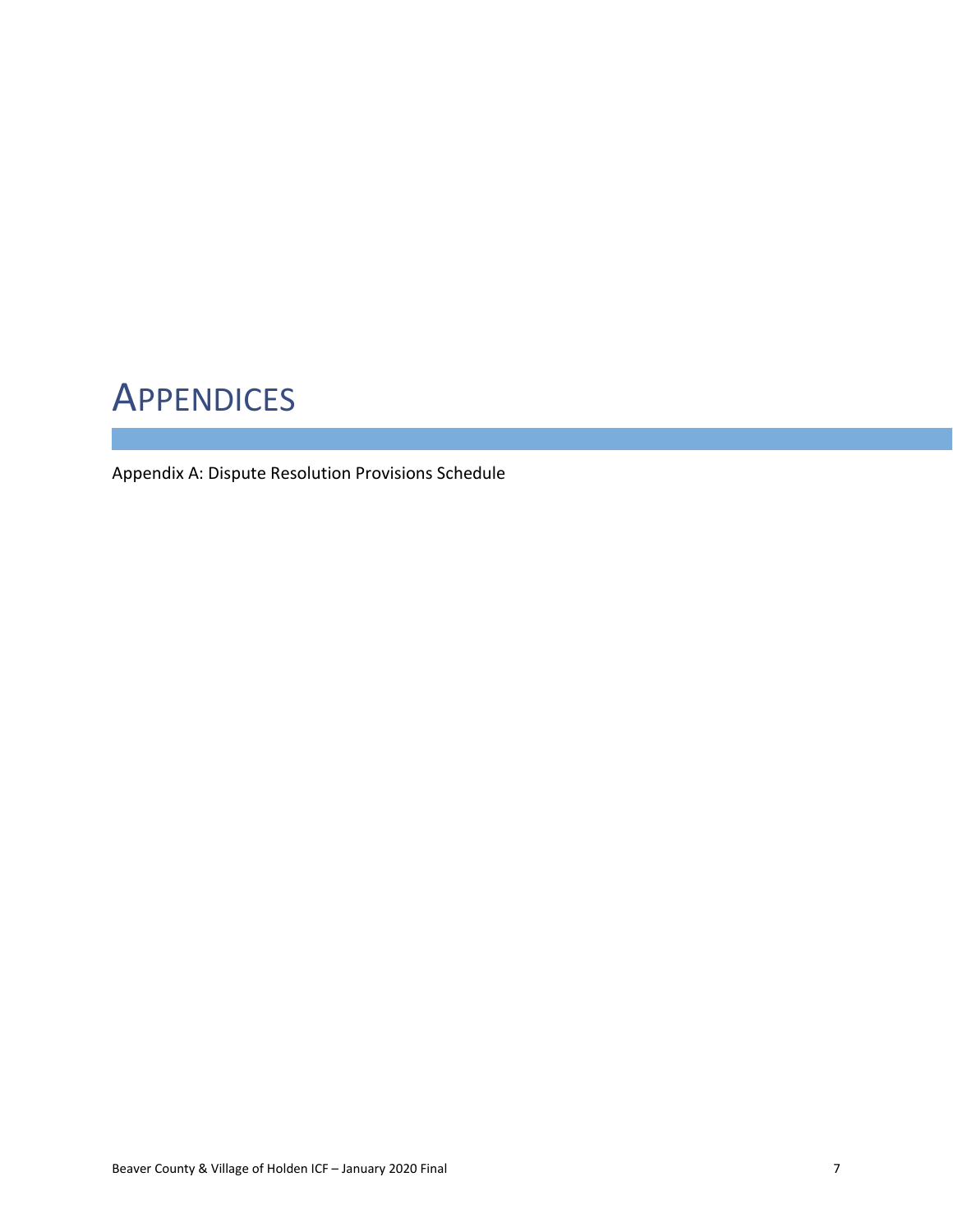## <span id="page-7-0"></span>**APPENDICES**

Appendix A: Dispute Resolution Provisions Schedule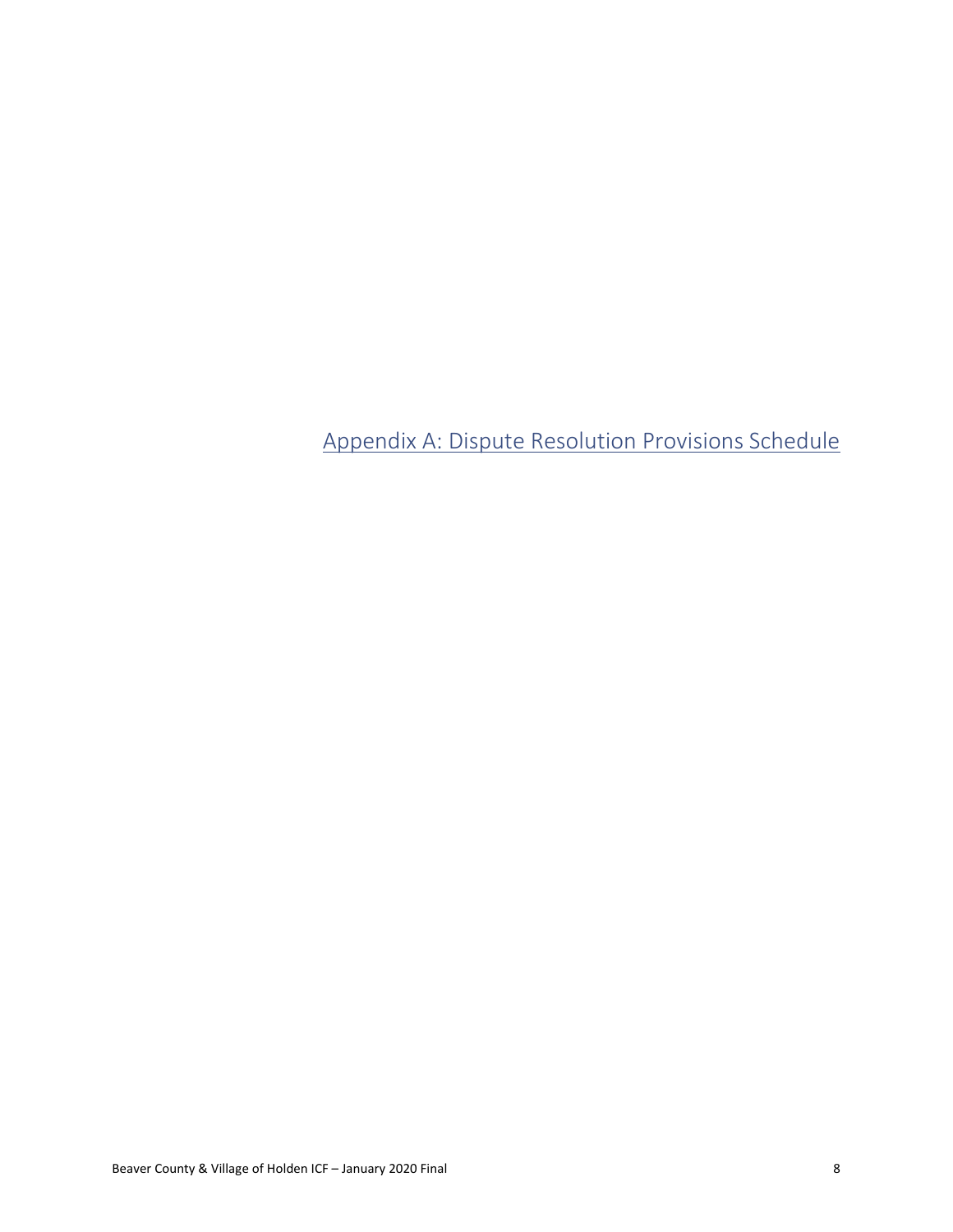<span id="page-8-0"></span>Appendix A: Dispute Resolution Provisions Schedule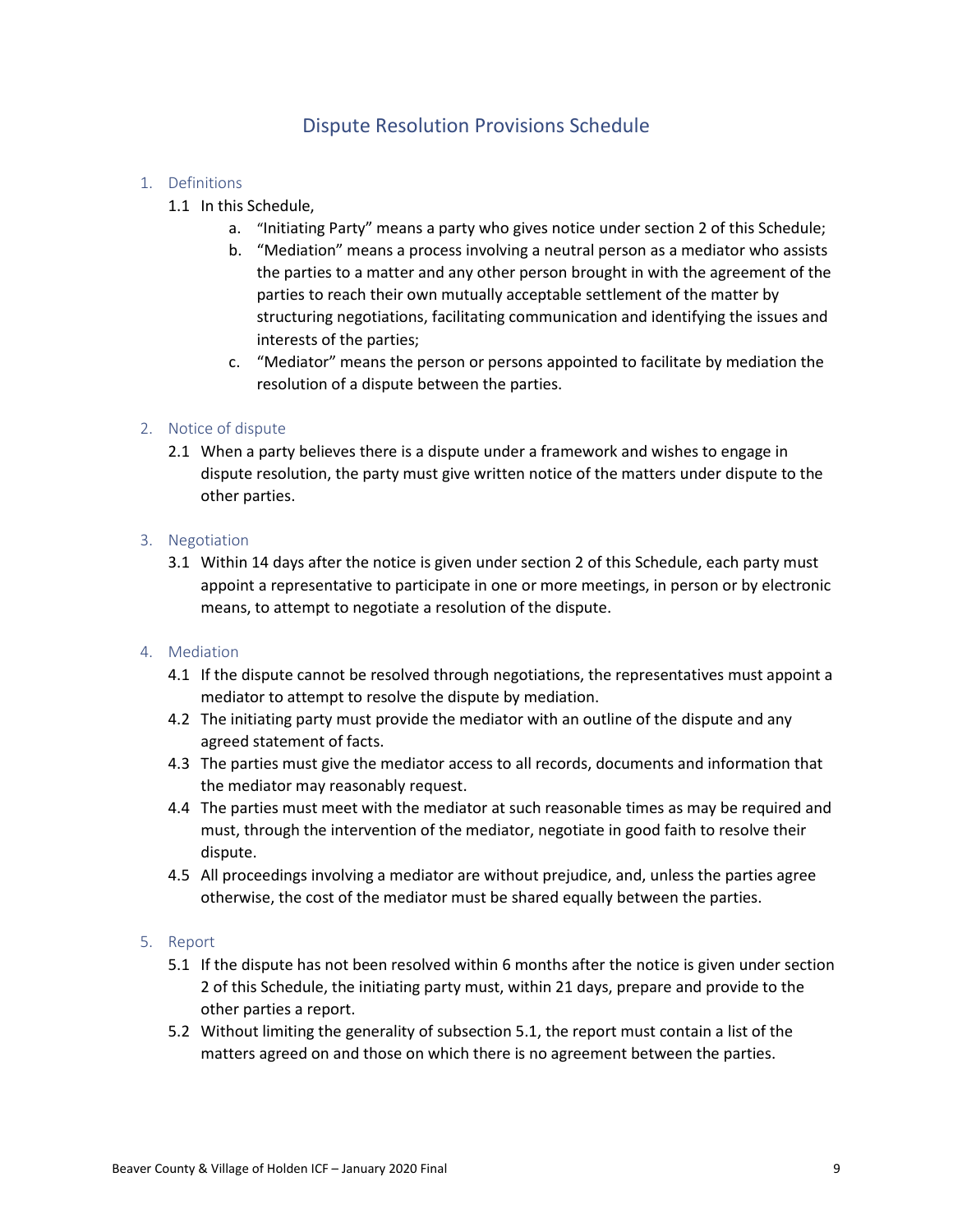## Dispute Resolution Provisions Schedule

### 1. Definitions

- 1.1 In this Schedule,
	- a. "Initiating Party" means a party who gives notice under section 2 of this Schedule;
	- b. "Mediation" means a process involving a neutral person as a mediator who assists the parties to a matter and any other person brought in with the agreement of the parties to reach their own mutually acceptable settlement of the matter by structuring negotiations, facilitating communication and identifying the issues and interests of the parties;
	- c. "Mediator" means the person or persons appointed to facilitate by mediation the resolution of a dispute between the parties.

## 2. Notice of dispute

2.1 When a party believes there is a dispute under a framework and wishes to engage in dispute resolution, the party must give written notice of the matters under dispute to the other parties.

#### 3. Negotiation

3.1 Within 14 days after the notice is given under section 2 of this Schedule, each party must appoint a representative to participate in one or more meetings, in person or by electronic means, to attempt to negotiate a resolution of the dispute.

#### 4. Mediation

- 4.1 If the dispute cannot be resolved through negotiations, the representatives must appoint a mediator to attempt to resolve the dispute by mediation.
- 4.2 The initiating party must provide the mediator with an outline of the dispute and any agreed statement of facts.
- 4.3 The parties must give the mediator access to all records, documents and information that the mediator may reasonably request.
- 4.4 The parties must meet with the mediator at such reasonable times as may be required and must, through the intervention of the mediator, negotiate in good faith to resolve their dispute.
- 4.5 All proceedings involving a mediator are without prejudice, and, unless the parties agree otherwise, the cost of the mediator must be shared equally between the parties.

#### 5. Report

- 5.1 If the dispute has not been resolved within 6 months after the notice is given under section 2 of this Schedule, the initiating party must, within 21 days, prepare and provide to the other parties a report.
- 5.2 Without limiting the generality of subsection 5.1, the report must contain a list of the matters agreed on and those on which there is no agreement between the parties.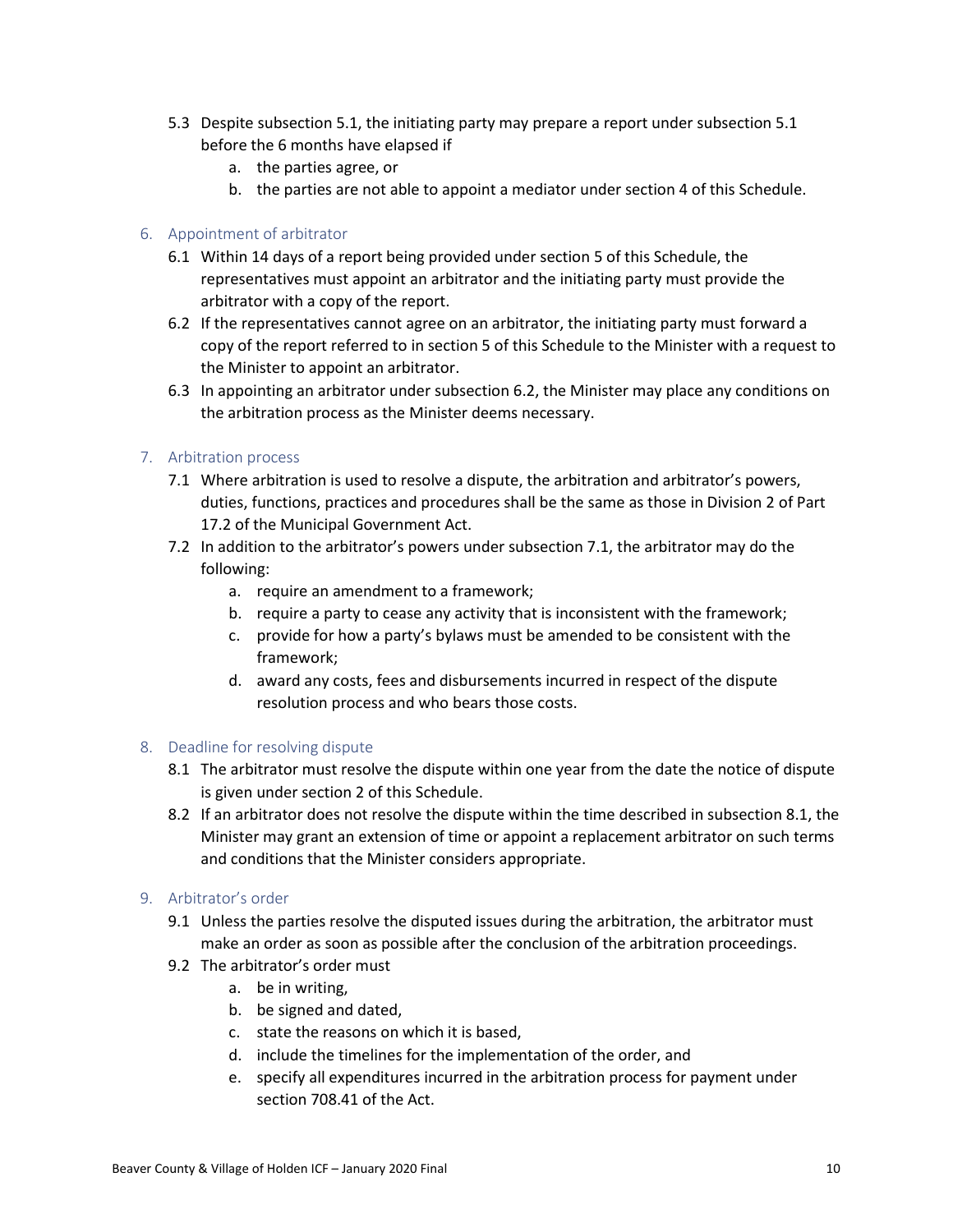- 5.3 Despite subsection 5.1, the initiating party may prepare a report under subsection 5.1 before the 6 months have elapsed if
	- a. the parties agree, or
	- b. the parties are not able to appoint a mediator under section 4 of this Schedule.

### 6. Appointment of arbitrator

- 6.1 Within 14 days of a report being provided under section 5 of this Schedule, the representatives must appoint an arbitrator and the initiating party must provide the arbitrator with a copy of the report.
- 6.2 If the representatives cannot agree on an arbitrator, the initiating party must forward a copy of the report referred to in section 5 of this Schedule to the Minister with a request to the Minister to appoint an arbitrator.
- 6.3 In appointing an arbitrator under subsection 6.2, the Minister may place any conditions on the arbitration process as the Minister deems necessary.

## 7. Arbitration process

- 7.1 Where arbitration is used to resolve a dispute, the arbitration and arbitrator's powers, duties, functions, practices and procedures shall be the same as those in Division 2 of Part 17.2 of the Municipal Government Act.
- 7.2 In addition to the arbitrator's powers under subsection 7.1, the arbitrator may do the following:
	- a. require an amendment to a framework;
	- b. require a party to cease any activity that is inconsistent with the framework;
	- c. provide for how a party's bylaws must be amended to be consistent with the framework;
	- d. award any costs, fees and disbursements incurred in respect of the dispute resolution process and who bears those costs.

#### 8. Deadline for resolving dispute

- 8.1 The arbitrator must resolve the dispute within one year from the date the notice of dispute is given under section 2 of this Schedule.
- 8.2 If an arbitrator does not resolve the dispute within the time described in subsection 8.1, the Minister may grant an extension of time or appoint a replacement arbitrator on such terms and conditions that the Minister considers appropriate.

## 9. Arbitrator's order

- 9.1 Unless the parties resolve the disputed issues during the arbitration, the arbitrator must make an order as soon as possible after the conclusion of the arbitration proceedings.
- 9.2 The arbitrator's order must
	- a. be in writing,
	- b. be signed and dated,
	- c. state the reasons on which it is based,
	- d. include the timelines for the implementation of the order, and
	- e. specify all expenditures incurred in the arbitration process for payment under section 708.41 of the Act.